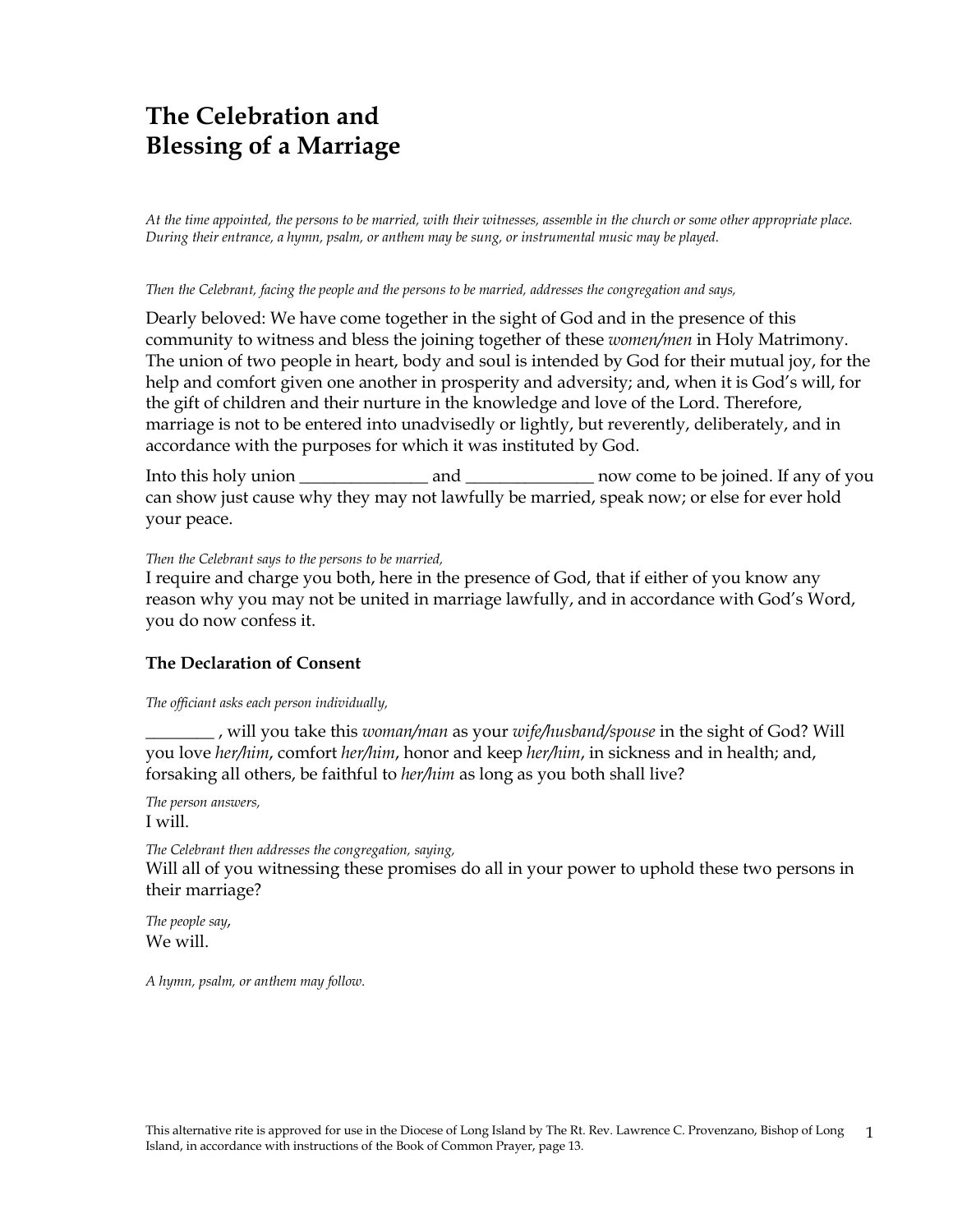# **The Celebration and Blessing of a Marriage**

*At the time appointed, the persons to be married, with their witnesses, assemble in the church or some other appropriate place. During their entrance, a hymn, psalm, or anthem may be sung, or instrumental music may be played.*

### *Then the Celebrant, facing the people and the persons to be married, addresses the congregation and says,*

Dearly beloved: We have come together in the sight of God and in the presence of this community to witness and bless the joining together of these *women/men* in Holy Matrimony. The union of two people in heart, body and soul is intended by God for their mutual joy, for the help and comfort given one another in prosperity and adversity; and, when it is God's will, for the gift of children and their nurture in the knowledge and love of the Lord. Therefore, marriage is not to be entered into unadvisedly or lightly, but reverently, deliberately, and in accordance with the purposes for which it was instituted by God.

Into this holy union \_\_\_\_\_\_\_\_\_\_\_\_\_\_\_ and \_\_\_\_\_\_\_\_\_\_\_\_\_\_\_ now come to be joined. If any of you can show just cause why they may not lawfully be married, speak now; or else for ever hold your peace.

### *Then the Celebrant says to the persons to be married,*

I require and charge you both, here in the presence of God, that if either of you know any reason why you may not be united in marriage lawfully, and in accordance with God's Word, you do now confess it.

### **The Declaration of Consent**

*The officiant asks each person individually,*

\_\_\_\_\_\_\_\_ , will you take this *woman/man* as your *wife/husband/spouse* in the sight of God? Will you love *her/him*, comfort *her/him*, honor and keep *her/him*, in sickness and in health; and, forsaking all others, be faithful to *her/him* as long as you both shall live?

*The person answers,* I will.

*The Celebrant then addresses the congregation, saying,*

Will all of you witnessing these promises do all in your power to uphold these two persons in their marriage?

*The people say,* We will.

*A hymn, psalm, or anthem may follow.*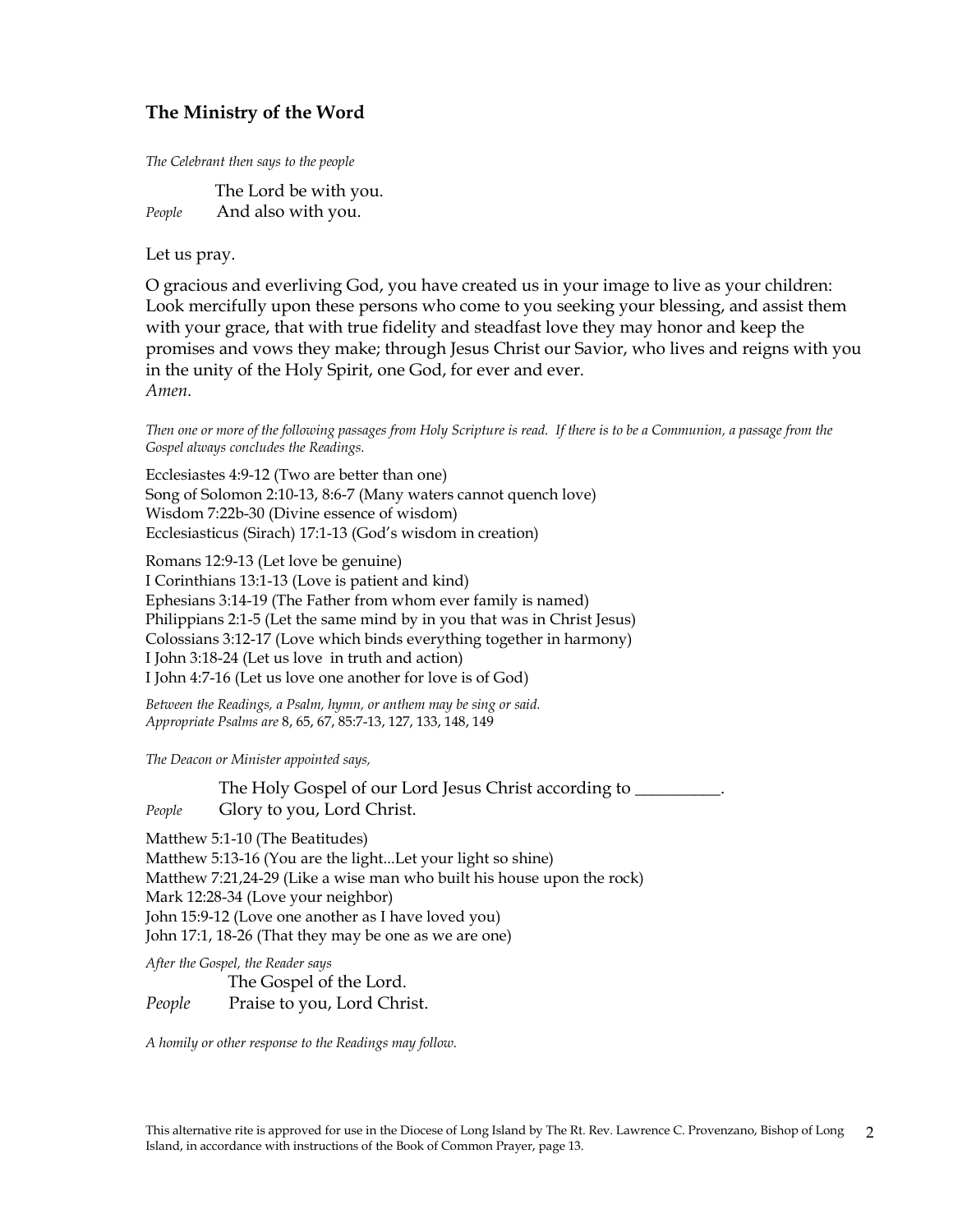# **The Ministry of the Word**

*The Celebrant then says to the people*

 The Lord be with you. *People* And also with you.

Let us pray.

O gracious and everliving God, you have created us in your image to live as your children: Look mercifully upon these persons who come to you seeking your blessing, and assist them with your grace, that with true fidelity and steadfast love they may honor and keep the promises and vows they make; through Jesus Christ our Savior, who lives and reigns with you in the unity of the Holy Spirit, one God, for ever and ever. *Amen.*

*Then one or more of the following passages from Holy Scripture is read. If there is to be a Communion, a passage from the Gospel always concludes the Readings.*

Ecclesiastes 4:9-12 (Two are better than one) Song of Solomon 2:10-13, 8:6-7 (Many waters cannot quench love) Wisdom 7:22b-30 (Divine essence of wisdom) Ecclesiasticus (Sirach) 17:1-13 (God's wisdom in creation)

Romans 12:9-13 (Let love be genuine) I Corinthians 13:1-13 (Love is patient and kind) Ephesians 3:14-19 (The Father from whom ever family is named) Philippians 2:1-5 (Let the same mind by in you that was in Christ Jesus) Colossians 3:12-17 (Love which binds everything together in harmony) I John 3:18-24 (Let us love in truth and action) I John 4:7-16 (Let us love one another for love is of God)

*Between the Readings, a Psalm, hymn, or anthem may be sing or said. Appropriate Psalms are* 8, 65, 67, 85:7-13, 127, 133, 148, 149

*The Deacon or Minister appointed says,*

The Holy Gospel of our Lord Jesus Christ according to *People* Glory to you, Lord Christ.

Matthew 5:1-10 (The Beatitudes) Matthew 5:13-16 (You are the light...Let your light so shine) Matthew 7:21,24-29 (Like a wise man who built his house upon the rock) Mark 12:28-34 (Love your neighbor) John 15:9-12 (Love one another as I have loved you) John 17:1, 18-26 (That they may be one as we are one)

*After the Gospel, the Reader says*

The Gospel of the Lord.

*People* Praise to you, Lord Christ.

*A homily or other response to the Readings may follow.*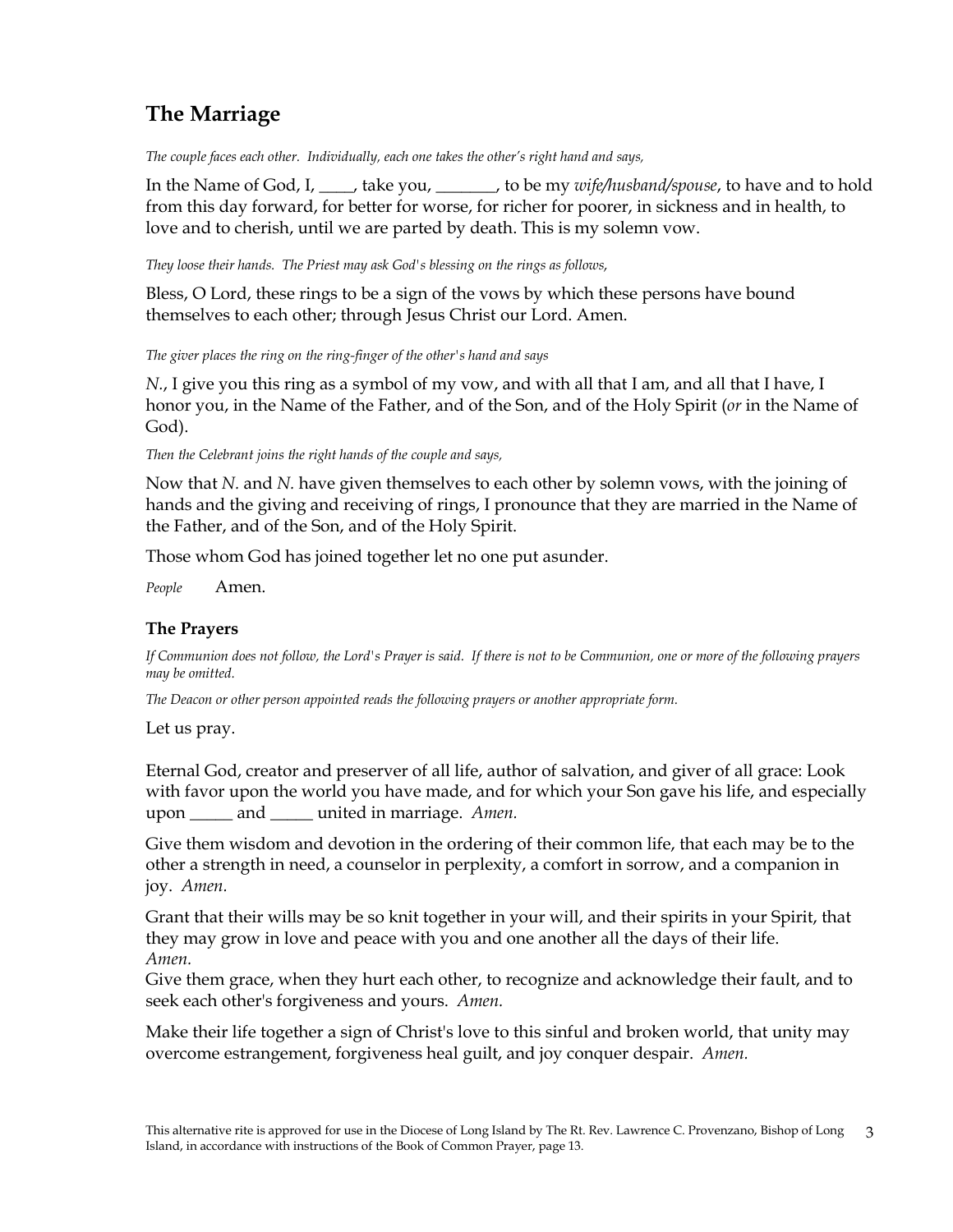# **The Marriage**

*The couple faces each other. Individually, each one takes the other's right hand and says,*

In the Name of God, I, \_\_\_\_, take you, \_\_\_\_\_\_\_, to be my *wife/husband/spouse*, to have and to hold from this day forward, for better for worse, for richer for poorer, in sickness and in health, to love and to cherish, until we are parted by death. This is my solemn vow.

*They loose their hands. The Priest may ask God's blessing on the rings as follows,*

Bless, O Lord, these rings to be a sign of the vows by which these persons have bound themselves to each other; through Jesus Christ our Lord. Amen.

*The giver places the ring on the ring-finger of the other's hand and says*

*N.*, I give you this ring as a symbol of my vow, and with all that I am, and all that I have, I honor you, in the Name of the Father, and of the Son, and of the Holy Spirit (*or* in the Name of God).

*Then the Celebrant joins the right hands of the couple and says,*

Now that *N.* and *N.* have given themselves to each other by solemn vows, with the joining of hands and the giving and receiving of rings, I pronounce that they are married in the Name of the Father, and of the Son, and of the Holy Spirit.

Those whom God has joined together let no one put asunder.

*People* Amen.

# **The Prayers**

*If Communion does not follow, the Lord's Prayer is said. If there is not to be Communion, one or more of the following prayers may be omitted.*

*The Deacon or other person appointed reads the following prayers or another appropriate form.*

Let us pray.

Eternal God, creator and preserver of all life, author of salvation, and giver of all grace: Look with favor upon the world you have made, and for which your Son gave his life, and especially upon \_\_\_\_\_ and \_\_\_\_\_ united in marriage. *Amen.*

Give them wisdom and devotion in the ordering of their common life, that each may be to the other a strength in need, a counselor in perplexity, a comfort in sorrow, and a companion in joy. *Amen.*

Grant that their wills may be so knit together in your will, and their spirits in your Spirit, that they may grow in love and peace with you and one another all the days of their life. *Amen.*

Give them grace, when they hurt each other, to recognize and acknowledge their fault, and to seek each other's forgiveness and yours. *Amen.*

Make their life together a sign of Christ's love to this sinful and broken world, that unity may overcome estrangement, forgiveness heal guilt, and joy conquer despair. *Amen.*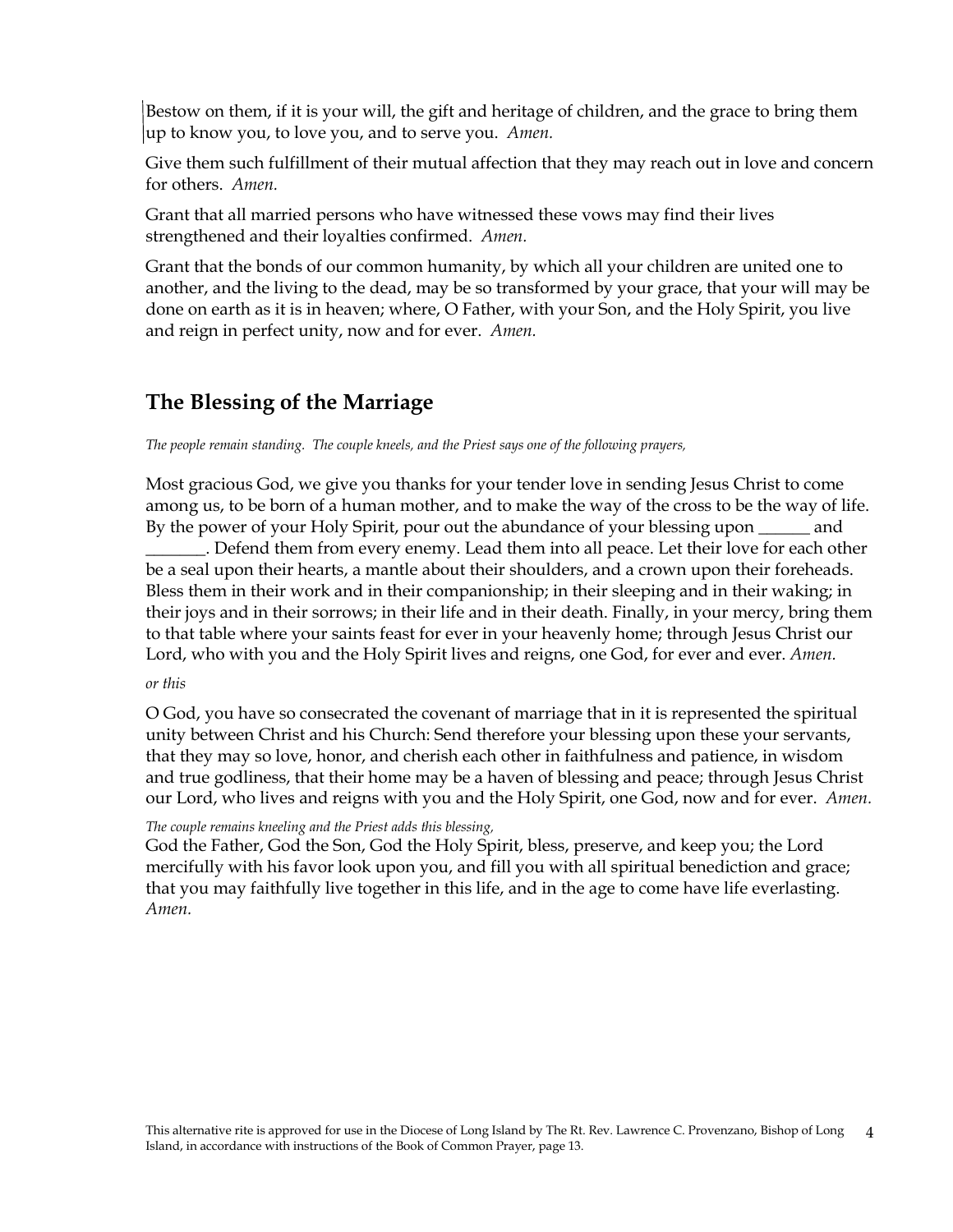Bestow on them, if it is your will, the gift and heritage of children, and the grace to bring them up to know you, to love you, and to serve you. *Amen.*

Give them such fulfillment of their mutual affection that they may reach out in love and concern for others. *Amen.* 

Grant that all married persons who have witnessed these vows may find their lives strengthened and their loyalties confirmed. *Amen.*

Grant that the bonds of our common humanity, by which all your children are united one to another, and the living to the dead, may be so transformed by your grace, that your will may be done on earth as it is in heaven; where, O Father, with your Son, and the Holy Spirit, you live and reign in perfect unity, now and for ever. *Amen.*

# **The Blessing of the Marriage**

*The people remain standing. The couple kneels, and the Priest says one of the following prayers,*

Most gracious God, we give you thanks for your tender love in sending Jesus Christ to come among us, to be born of a human mother, and to make the way of the cross to be the way of life. By the power of your Holy Spirit, pour out the abundance of your blessing upon \_\_\_\_\_\_ and

\_\_\_\_\_\_\_. Defend them from every enemy. Lead them into all peace. Let their love for each other be a seal upon their hearts, a mantle about their shoulders, and a crown upon their foreheads. Bless them in their work and in their companionship; in their sleeping and in their waking; in their joys and in their sorrows; in their life and in their death. Finally, in your mercy, bring them to that table where your saints feast for ever in your heavenly home; through Jesus Christ our Lord, who with you and the Holy Spirit lives and reigns, one God, for ever and ever. *Amen.*

### *or this*

O God, you have so consecrated the covenant of marriage that in it is represented the spiritual unity between Christ and his Church: Send therefore your blessing upon these your servants, that they may so love, honor, and cherish each other in faithfulness and patience, in wisdom and true godliness, that their home may be a haven of blessing and peace; through Jesus Christ our Lord, who lives and reigns with you and the Holy Spirit, one God, now and for ever. *Amen.*

## *The couple remains kneeling and the Priest adds this blessing,*

God the Father, God the Son, God the Holy Spirit, bless, preserve, and keep you; the Lord mercifully with his favor look upon you, and fill you with all spiritual benediction and grace; that you may faithfully live together in this life, and in the age to come have life everlasting. *Amen.*